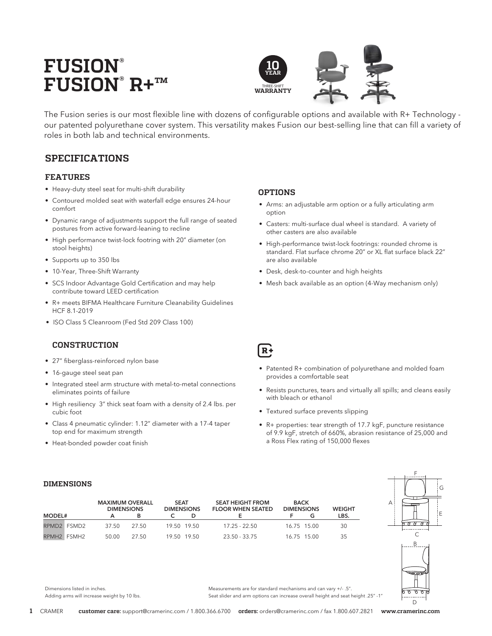# **FUSION® FUSION® R+™**



The Fusion series is our most flexible line with dozens of configurable options and available with R+ Technology our patented polyurethane cover system. This versatility makes Fusion our best-selling line that can fill a variety of roles in both lab and technical environments.

# **SPECIFICATIONS**

### **FEATURES**

- Heavy-duty steel seat for multi-shift durability
- Contoured molded seat with waterfall edge ensures 24-hour comfort
- Dynamic range of adjustments support the full range of seated postures from active forward-leaning to recline
- High performance twist-lock footring with 20" diameter (on stool heights)
- Supports up to 350 lbs
- 10-Year, Three-Shift Warranty
- SCS Indoor Advantage Gold Certification and may help contribute toward LEED certification
- R+ meets BIFMA Healthcare Furniture Cleanability Guidelines HCF 8.1-2019
- ISO Class 5 Cleanroom (Fed Std 209 Class 100)

### **CONSTRUCTION**

- 27" fiberglass-reinforced nylon base
- 16-gauge steel seat pan
- Integrated steel arm structure with metal-to-metal connections eliminates points of failure
- High resiliency 3" thick seat foam with a density of 2.4 lbs. per cubic foot
- Class 4 pneumatic cylinder: 1.12" diameter with a 17-4 taper top end for maximum strength
- Heat-bonded powder coat finish

### **OPTIONS**

- Arms: an adjustable arm option or a fully articulating arm option
- Casters: multi-surface dual wheel is standard. A variety of other casters are also available
- High-performance twist-lock footrings: rounded chrome is standard. Flat surface chrome 20" or XL flat surface black 22" are also available
- Desk, desk-to-counter and high heights
- Mesh back available as an option (4-Way mechanism only)

# $R +$

- Patented R+ combination of polyurethane and molded foam provides a comfortable seat
- Resists punctures, tears and virtually all spills; and cleans easily with bleach or ethanol
- Textured surface prevents slipping
- R+ properties: tear strength of 17.7 kgF, puncture resistance of 9.9 kgF, stretch of 660%, abrasion resistance of 25,000 and a Ross Flex rating of 150,000 flexes

### **DIMENSIONS**

| <b>MODEL#</b> |             | <b>MAXIMUM OVERALL</b><br><b>DIMENSIONS</b> |       | <b>SEAT</b><br><b>DIMENSIONS</b> |             | <b>SEAT HEIGHT FROM</b><br><b>FLOOR WHEN SEATED</b> | <b>BACK</b><br><b>DIMENSIONS</b> |             | <b>WEIGHT</b><br>LBS. |
|---------------|-------------|---------------------------------------------|-------|----------------------------------|-------------|-----------------------------------------------------|----------------------------------|-------------|-----------------------|
|               | RPMD2 FSMD2 | 37.50                                       | 27.50 |                                  | 19.50 19.50 | $17.25 - 22.50$                                     |                                  | 16.75 15.00 | 30                    |
|               | RPMH2 FSMH2 | 50.00                                       | 27.50 |                                  | 19.50 19.50 | 23.50 - 33.75                                       |                                  | 16.75 15.00 | 35                    |



Dimensions listed in inches. Adding arms will increase weight by 10 lbs. Measurements are for standard mechanisms and can vary +/- .5". Seat slider and arm options can increase overall height and seat height .25" -1"